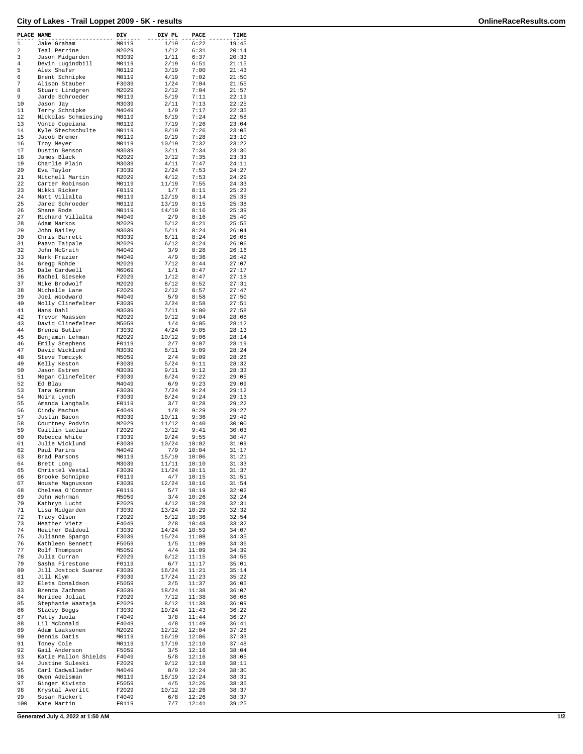## **City of Lakes - Trail Loppet 2009 - 5K - results OnlineRaceResults.com**

| PLACE NAME |                                    | DIV            | DIV PL        | PACE           | TIME           |
|------------|------------------------------------|----------------|---------------|----------------|----------------|
| 1          | Jake Graham                        | M0119          | 1/19          | 6:22           | 19:45          |
| 2          | Teal Perrine                       | M2029          | 1/12          | 6:31           | 20:14          |
| 3          | Jason Midgarden                    | M3039          | 1/11          | 6:37           | 20:33          |
| 4          | Devin Lugindbill                   | M0119          | 2/19          | 6:51           | 21:15          |
| 5<br>6     | Alex Shafer<br>Brent Schnipke      | M0119<br>M0119 | 3/19<br>4/19  | 7:00<br>7:02   | 21:43<br>21:50 |
| 7          | Alison Stauber                     | F3039          | 1/24          | 7:04           | 21:55          |
| 8          | Stuart Lindgren                    | M2029          | 2/12          | 7:04           | 21:57          |
| 9          | Jarde Schroeder                    | M0119          | 5/19          | 7:11           | 22:19          |
| 10         | Jason Jay                          | M3039          | 2/11          | 7:13           | 22:25          |
| 11         | Terry Schnipke                     | M4049          | 1/9           | 7:17           | 22:35          |
| 12         | Nickolas Schmiesing                | M0119          | 6/19          | 7:24           | 22:58          |
| 13         | Vonte Copeiana                     | M0119          | 7/19          | 7:26           | 23:04          |
| 14         | Kyle Stechschulte                  | M0119          | 8/19          | 7:26           | 23:05          |
| 15         | Jacob Bremer                       | M0119          | 9/19          | 7:28           | 23:10          |
| 16         | Troy Meyer                         | M0119          | 10/19         | 7:32           | 23:22          |
| 17         | Dustin Benson                      | M3039          | 3/11          | 7:34           | 23:30          |
| 18         | James Black                        | M2029          | 3/12          | 7:35           | 23:33          |
| 19         | Charlie Plain                      | M3039          | 4/11          | 7:47           | 24:11          |
| 20         | Eva Taylor                         | F3039          | 2/24          | 7:53           | 24:27          |
| 21<br>22   | Mitchell Martin<br>Carter Robinson | M2029<br>M0119 | 4/12<br>11/19 | 7:53<br>7:55   | 24:29<br>24:33 |
| 23         | Nikki Ricker                       | F0119          | 1/7           | 8:11           | 25:23          |
| 24         | Matt Villalta                      | M0119          | 12/19         | 8:14           | 25:35          |
| 25         | Jared Schroeder                    | M0119          | 13/19         | 8:15           | 25:38          |
| 26         | Shane Rode                         | M0119          | 14/19         | 8:16           | 25:39          |
| 27         | Richard Villalta                   | M4049          | 2/9           | 8:16           | 25:40          |
| 28         | Adam Markos                        | M2029          | 5/12          | 8:21           | 25:55          |
| 29         | John Bailey                        | M3039          | 5/11          | 8:24           | 26:04          |
| 30         | Chris Barrett                      | M3039          | 6/11          | 8:24           | 26:05          |
| 31         | Paavo Taipale                      | M2029          | 6/12          | 8:24           | 26:06          |
| 32         | John McGrath                       | M4049          | 3/9           | 8:28           | 26:16          |
| 33         | Mark Frazier                       | M4049          | 4/9           | 8:36           | 26:42          |
| 34         | Gregg Rohde                        | M2029          | 7/12          | 8:44           | 27:07          |
| 35         | Dale Cardwell                      | M6069          | 1/1           | 8:47           | 27:17          |
| 36         | Rachel Gieseke                     | F2029          | 1/12          | 8:47           | 27:18          |
| 37         | Mike Brodwolf                      | M2029          | 8/12          | 8:52           | 27:31          |
| 38<br>39   | Michelle Lane                      | F2029          | 2/12          | 8:57           | 27:47          |
| 40         | Joel Woodward                      | M4049<br>F3039 | 5/9<br>3/24   | 8:58<br>8:58   | 27:50<br>27:51 |
| 41         | Molly Clinefelter<br>Hans Dahl     | M3039          | 7/11          | 9:00           | 27:58          |
| 42         | Trevor Maassen                     | M2029          | 9/12          | 9:04           | 28:08          |
| 43         | David Clinefelter                  | M5059          | 1/4           | 9:05           | 28:12          |
| 44         | Brenda Butler                      | F3039          | 4/24          | 9:05           | 28:13          |
| 45         | Benjamin Lehman                    | M2029          | 10/12         | 9:06           | 28:14          |
| 46         | Emily Stephens                     | F0119          | 2/7           | 9:07           | 28:19          |
| 47         | David Wicklund                     | M3039          | 8/11          | 9:09           | 28:24          |
| 48         | Steve Tomczyk                      | M5059          | 2/4           | 9:09           | 28:26          |
| 49         | Kelly Keston                       | F3039          | 5/24          | 9:11           | 28:32          |
| 50         | Jason Estrem                       | M3039          | 9/11          | 9:12           | 28:33          |
| 51         | Megan Clinefelter                  | F3039          | 6/24          | 9:22           | 29:05          |
| 52         | Ed Blau                            | M4049          | 6/9           | 9:23           | 29:09          |
| 53         | Tara Gorman                        | F3039          | 7/24          | 9:24           | 29:12          |
| 54<br>55   | Moira Lynch                        | F3039<br>F0119 | 8/24          | 9:24           | 29:13          |
|            | Amanda Langhals                    |                | 3/7           | 9:28           | 29:22          |
| 56<br>57   | Cindy Machus<br>Justin Bacon       | F4049<br>M3039 | 1/8<br>10/11  | 9:29<br>9:36   | 29:27<br>29:49 |
| 58         | Courtney Podvin                    | M2029          | 11/12         | 9:40           | 30:00          |
| 59         | Caitlin Laclair                    | F2029          | 3/12          | 9:41           | 30:03          |
| 60         | Rebecca White                      | F3039          | 9/24          | 9:55           | 30:47          |
| 61         | Julie Wicklund                     | F3039          | 10/24         | 10:02          | 31:09          |
| 62         | Paul Parins                        | M4049          | 7/9           | 10:04          | 31:17          |
| 63         | Brad Parsons                       | M0119          | 15/19         | 10:06          | 31:21          |
| 64         | Brett Long                         | M3039          | 11/11         | 10:10          | 31:33          |
| 65         | Christel Vestal                    | F3039          | 11/24         | 10:11          | 31:37          |
| 66         | Brooke Schnipke                    | F0119          | 4/7           | 10:15          | 31:51          |
| 67         | Noushe Magnusson                   | F3039          | 12/24         | 10:16          | 31:54          |
| 68         | Chelsea O'Connor                   | F0119          | 5/7           | 10:19          | 32:02          |
| 69<br>70   | John Wehrman                       | M5059          | 3/4           | 10:26          | 32:24          |
| 71         | Kathryn Lucht                      | F2029<br>F3039 | 4/12<br>13/24 | 10:28<br>10:29 | 32:31<br>32:32 |
| 72         | Lisa Midgarden<br>Tracy Olson      | F2029          | 5/12          | 10:36          | 32:54          |
| 73         | Heather Vietz                      | F4049          | 2/8           | 10:48          | 33:32          |
| 74         | Heather Daldoul                    | F3039          | 14/24         | 10:59          | 34:07          |
| 75         | Julianne Spargo                    | F3039          | 15/24         | 11:08          | 34:35          |
| 76         | Kathleen Bennett                   | F5059          | 1/5           | 11:09          | 34:36          |
| 77         | Rolf Thompson                      | M5059          | 4/4           | 11:09          | 34:39          |
| 78         | Julia Curran                       | F2029          | 6/12          | 11:15          | 34:56          |
| 79         | Sasha Firestone                    | F0119          | 6/7           | 11:17          | 35:01          |
| 80         | Jill Jostock Suarez                | F3039          | 16/24         | 11:21          | 35:14          |
| 81         | Jill Klym                          | F3039          | 17/24         | 11:23          | 35:22          |
| 82         | Eleta Donaldson                    | F5059          | 2/5           | 11:37          | 36:05          |
| 83         | Brenda Zachman                     | F3039          | 18/24         | 11:38          | 36:07          |
| 84         | Meridee Joliat                     | F2029          | 7/12          | 11:38          | 36:08          |
| 85         | Stephanie Waataja                  | F2029          | 8/12          | 11:38          | 36:09          |
| 86<br>87   | Stacey Boggs<br>Patty Juola        | F3039<br>F4049 | 19/24<br>3/8  | 11:43<br>11:44 | 36:22<br>36:27 |
| 88         | Lil McDonald                       | F4049          | 4/8           | 11:49          | 36:41          |
| 89         | Adam Laaksonen                     | M2029          | 12/12         | 12:04          | 37:28          |
| 90         | Dennis Oatis                       | M0119          | 16/19         | 12:06          | 37:33          |
| 91         | Toney Cole                         | M0119          | 17/19         | 12:10          | 37:48          |
| 92         | Gail Anderson                      | F5059          | 3/5           | 12:16          | 38:04          |
| 93         | Katie Mallon Shields               | F4049          | 5/8           | 12:16          | 38:05          |
| 94         | Justine Suleski                    | F2029          | 9/12          | 12:18          | 38:11          |
| 95         | Carl Cadwallader                   | M4049          | 8/9           | 12:24          | 38:30          |
| 96         | Owen Adelsman                      | M0119          | 18/19         | 12:24          | 38:31          |
| 97         | Ginger Kivisto                     | F5059          | 4/5           | 12:26          | 38:35          |
| 98         | Krystal Averitt                    | F2029          | 10/12         | 12:26          | 38:37          |
| 99         | Susan Rickert                      | F4049          | 6/8           | 12:26          | 38:37          |
| 100        | Kate Martin                        | F0119          | 7/7           | 12:41          | 39:25          |